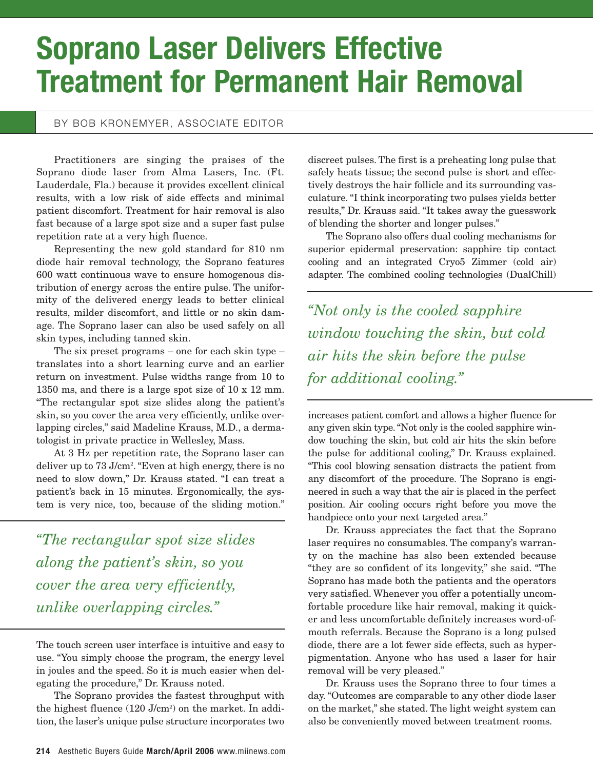## **Soprano Laser Delivers Effective Treatment for Permanent Hair Removal**

## BY BOB KRONEMYER, ASSOCIATE EDITOR

Practitioners are singing the praises of the Soprano diode laser from Alma Lasers, Inc. (Ft. Lauderdale, Fla.) because it provides excellent clinical results, with a low risk of side effects and minimal patient discomfort. Treatment for hair removal is also fast because of a large spot size and a super fast pulse repetition rate at a very high fluence.

Representing the new gold standard for 810 nm diode hair removal technology, the Soprano features 600 watt continuous wave to ensure homogenous distribution of energy across the entire pulse. The uniformity of the delivered energy leads to better clinical results, milder discomfort, and little or no skin damage. The Soprano laser can also be used safely on all skin types, including tanned skin.

The six preset programs – one for each skin type – translates into a short learning curve and an earlier return on investment. Pulse widths range from 10 to 1350 ms, and there is a large spot size of 10 x 12 mm. "The rectangular spot size slides along the patient's skin, so you cover the area very efficiently, unlike overlapping circles," said Madeline Krauss, M.D., a dermatologist in private practice in Wellesley, Mass.

At 3 Hz per repetition rate, the Soprano laser can deliver up to 73 J/cm<sup>2</sup>. "Even at high energy, there is no need to slow down," Dr. Krauss stated. "I can treat a patient's back in 15 minutes. Ergonomically, the system is very nice, too, because of the sliding motion."

*"The rectangular spot size slides along the patient's skin, so you cover the area very efficiently, unlike overlapping circles."*

The touch screen user interface is intuitive and easy to use. "You simply choose the program, the energy level in joules and the speed. So it is much easier when delegating the procedure," Dr. Krauss noted.

The Soprano provides the fastest throughput with the highest fluence (120 J/cm<sup>2</sup>) on the market. In addition, the laser's unique pulse structure incorporates two discreet pulses. The first is a preheating long pulse that safely heats tissue; the second pulse is short and effectively destroys the hair follicle and its surrounding vasculature. "I think incorporating two pulses yields better results," Dr. Krauss said. "It takes away the guesswork of blending the shorter and longer pulses."

The Soprano also offers dual cooling mechanisms for superior epidermal preservation: sapphire tip contact cooling and an integrated Cryo5 Zimmer (cold air) adapter. The combined cooling technologies (DualChill)

*"Not only is the cooled sapphire window touching the skin, but cold air hits the skin before the pulse for additional cooling."*

increases patient comfort and allows a higher fluence for any given skin type. "Not only is the cooled sapphire window touching the skin, but cold air hits the skin before the pulse for additional cooling," Dr. Krauss explained. "This cool blowing sensation distracts the patient from any discomfort of the procedure. The Soprano is engineered in such a way that the air is placed in the perfect position. Air cooling occurs right before you move the handpiece onto your next targeted area."

Dr. Krauss appreciates the fact that the Soprano laser requires no consumables. The company's warranty on the machine has also been extended because "they are so confident of its longevity," she said. "The Soprano has made both the patients and the operators very satisfied. Whenever you offer a potentially uncomfortable procedure like hair removal, making it quicker and less uncomfortable definitely increases word-ofmouth referrals. Because the Soprano is a long pulsed diode, there are a lot fewer side effects, such as hyperpigmentation. Anyone who has used a laser for hair removal will be very pleased."

Dr. Krauss uses the Soprano three to four times a day. "Outcomes are comparable to any other diode laser on the market," she stated. The light weight system can also be conveniently moved between treatment rooms.